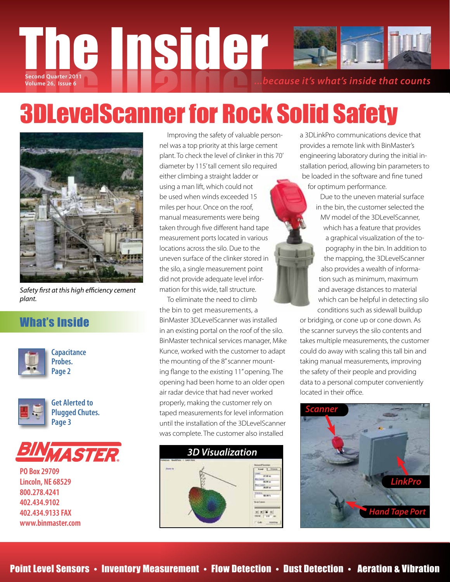

# 3DLevelScanner for Rock Solid Safety



*Safety first at this high efficiency cement plant.*

### What's Inside



**Capacitance Probes. Page 2**



**Get Alerted to Plugged Chutes. Page 3**



**PO Box 29709 Lincoln, NE 68529 800.278.4241 402.434.9102 402.434.9133 FAX www.binmaster.com**

 Improving the safety of valuable personnel was a top priority at this large cement plant. To check the level of clinker in this 70' diameter by 115' tall cement silo required either climbing a straight ladder or using a man lift, which could not be used when winds exceeded 15 miles per hour. Once on the roof, manual measurements were being taken through five different hand tape measurement ports located in various locations across the silo. Due to the uneven surface of the clinker stored in the silo, a single measurement point did not provide adequate level information for this wide, tall structure.

 To eliminate the need to climb the bin to get measurements, a BinMaster 3DLevelScanner was installed in an existing portal on the roof of the silo. BinMaster technical services manager, Mike Kunce, worked with the customer to adapt the mounting of the 8" scanner mounting flange to the existing 11" opening. The opening had been home to an older open air radar device that had never worked properly, making the customer rely on taped measurements for level information until the installation of the 3DLevelScanner was complete. The customer also installed



a 3DLinkPro communications device that provides a remote link with BinMaster's engineering laboratory during the initial installation period, allowing bin parameters to be loaded in the software and fine tuned for optimum performance.

> Due to the uneven material surface in the bin, the customer selected the MV model of the 3DLevelScanner, which has a feature that provides a graphical visualization of the topography in the bin. In addition to the mapping, the 3DLevelScanner also provides a wealth of information such as minimum, maximum and average distances to material which can be helpful in detecting silo conditions such as sidewall buildup

or bridging, or cone up or cone down. As the scanner surveys the silo contents and takes multiple measurements, the customer could do away with scaling this tall bin and taking manual measurements, improving the safety of their people and providing data to a personal computer conveniently located in their office.

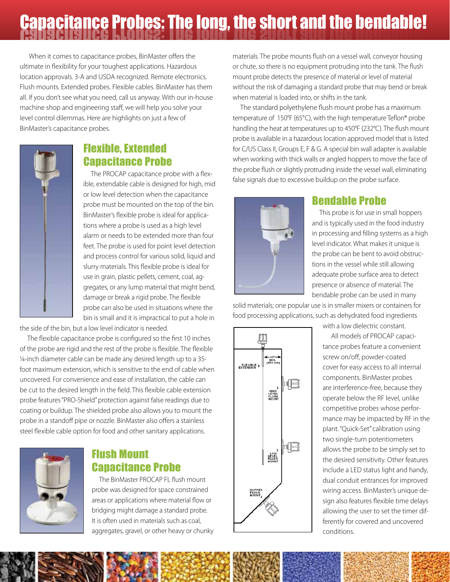# **Capacitance Probes: The long, the short and the bendable!**

 When it comes to capacitance probes, BinMaster offers the ultimate in flexibility for your toughest applications. Hazardous location approvals. 3-A and USDA recognized. Remote electronics. Flush mounts. Extended probes. Flexible cables. BinMaster has them all. If you don't see what you need, call us anyway. With our in-house machine shop and engineering staff, we will help you solve your level control dilemmas. Here are highlights on just a few of BinMaster's capacitance probes.



## Flexible, Extended Capacitance Probe

 The PROCAP capacitance probe with a flexible, extendable cable is designed for high, mid or low level detection when the capacitance probe must be mounted on the top of the bin. BinMaster's flexible probe is ideal for applications where a probe is used as a high level alarm or needs to be extended more than four feet. The probe is used for point level detection and process control for various solid, liquid and slurry materials. This flexible probe is ideal for use in grain, plastic pellets, cement, coal, aggregates, or any lump material that might bend, damage or break a rigid probe. The flexible probe can also be used in situations where the bin is small and it is impractical to put a hole in

the side of the bin, but a low level indicator is needed.

 The flexible capacitance probe is configured so the first 10 inches of the probe are rigid and the rest of the probe is flexible. The flexible ¼-inch diameter cable can be made any desired length up to a 35 foot maximum extension, which is sensitive to the end of cable when uncovered. For convenience and ease of installation, the cable can be cut to the desired length in the field. This flexible cable extension probe features "PRO-Shield" protection against false readings due to coating or buildup. The shielded probe also allows you to mount the probe in a standoff pipe or nozzle. BinMaster also offers a stainless steel flexible cable option for food and other sanitary applications.



#### Flush Mount Capacitance Probe

 The BinMaster PROCAP FL flush mount probe was designed for space constrained areas or applications where material flow or bridging might damage a standard probe. It is often used in materials such as coal, aggregates, gravel, or other heavy or chunky materials. The probe mounts flush on a vessel wall, conveyor housing or chute, so there is no equipment protruding into the tank. The flush mount probe detects the presence of material or level of material without the risk of damaging a standard probe that may bend or break when material is loaded into, or shifts in the tank.

 The standard polyethylene flush mount probe has a maximum temperature of 150°F (65°C), with the high temperature Teflon® probe handling the heat at temperatures up to 450°F (232°C). The flush mount probe is available in a hazardous location approved model that is listed for C/US Class II, Groups E, F & G. A special bin wall adapter is available when working with thick walls or angled hoppers to move the face of the probe flush or slightly protruding inside the vessel wall, eliminating false signals due to excessive buildup on the probe surface.



#### Bendable Probe

 This probe is for use in small hoppers and is typically used in the food industry in processing and filling systems as a high level indicator. What makes it unique is the probe can be bent to avoid obstructions in the vessel while still allowing adequate probe surface area to detect presence or absence of material. The bendable probe can be used in many

with a low dielectric constant.

solid materials; one popular use is in smaller mixers or containers for food processing applications, such as dehydrated food ingredients



**All models of PROCAP capaci**tance probes feature a convenient screw on/off, powder-coated cover for easy access to all internal components. BinMaster probes are interference-free, because they operate below the RF level, unlike competitive probes whose performance may be impacted by RF in the plant. "Quick-Set" calibration using two single-turn potentiometers allows the probe to be simply set to the desired sensitivity. Other features include a LED status light and handy, dual conduit entrances for improved wiring access. BinMaster's unique design also features flexible time delays allowing the user to set the timer differently for covered and uncovered conditions.

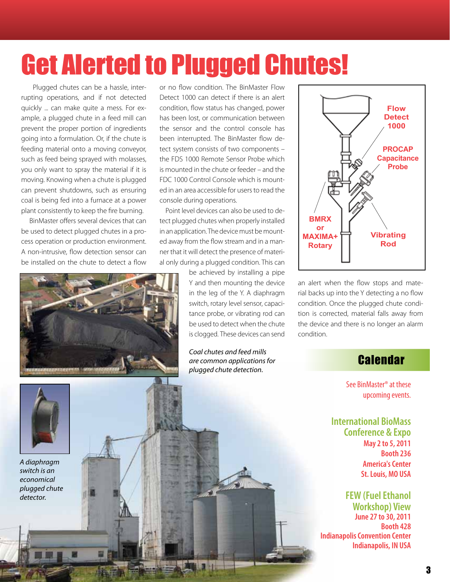# Get Alerted to Plugged Chutes!

 Plugged chutes can be a hassle, interrupting operations, and if not detected quickly ... can make quite a mess. For example, a plugged chute in a feed mill can prevent the proper portion of ingredients going into a formulation. Or, if the chute is feeding material onto a moving conveyor, such as feed being sprayed with molasses, you only want to spray the material if it is moving. Knowing when a chute is plugged can prevent shutdowns, such as ensuring coal is being fed into a furnace at a power plant consistently to keep the fire burning.

 BinMaster offers several devices that can be used to detect plugged chutes in a process operation or production environment. A non-intrusive, flow detection sensor can be installed on the chute to detect a flow



or no flow condition. The BinMaster Flow Detect 1000 can detect if there is an alert condition, flow status has changed, power has been lost, or communication between the sensor and the control console has been interrupted. The BinMaster flow detect system consists of two components – the FDS 1000 Remote Sensor Probe which is mounted in the chute or feeder – and the FDC 1000 Control Console which is mounted in an area accessible for users to read the console during operations.

 Point level devices can also be used to detect plugged chutes when properly installed in an application. The device must be mounted away from the flow stream and in a manner that it will detect the presence of material only during a plugged condition. This can

> be achieved by installing a pipe Y and then mounting the device in the leg of the Y. A diaphragm switch, rotary level sensor, capacitance probe, or vibrating rod can be used to detect when the chute is clogged. These devices can send

*Coal chutes and feed mills are common applications for plugged chute detection.*



an alert when the flow stops and material backs up into the Y detecting a no flow condition. Once the plugged chute condition is corrected, material falls away from the device and there is no longer an alarm condition.

### **Calendar**

See BinMaster® at these upcoming events.

**International BioMass Conference & Expo May 2 to 5, 2011 Booth 236 America's Center St. Louis, MO USA** 

**FEW (Fuel Ethanol Workshop) View June 27 to 30, 2011 Booth 428 Indianapolis Convention Center Indianapolis, IN USA** 



*A diaphragm switch is an economical plugged chute detector.*